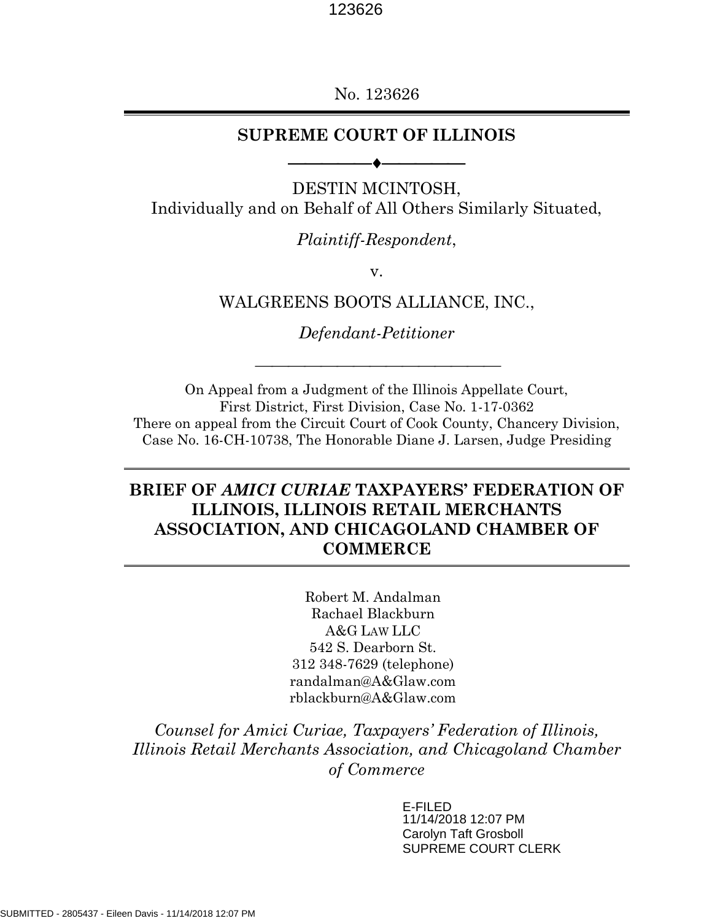No. 123626

## **SUPREME COURT OF ILLINOIS**

⎯⎯⎯⎯⎯⎯⎯⎯⎯⎯

DESTIN MCINTOSH, Individually and on Behalf of All Others Similarly Situated,

*Plaintiff-Respondent*,

v.

WALGREENS BOOTS ALLIANCE, INC.,

*Defendant-Petitioner*

On Appeal from a Judgment of the Illinois Appellate Court, First District, First Division, Case No. 1-17-0362 There on appeal from the Circuit Court of Cook County, Chancery Division, Case No. 16-CH-10738, The Honorable Diane J. Larsen, Judge Presiding

# **BRIEF OF** *AMICI CURIAE* **TAXPAYERS' FEDERATION OF ILLINOIS, ILLINOIS RETAIL MERCHANTS ASSOCIATION, AND CHICAGOLAND CHAMBER OF COMMERCE**

Robert M. Andalman Rachael Blackburn A&G LAW LLC 542 S. Dearborn St. 312 348-7629 (telephone) randalman@A&Glaw.com rblackburn@A&Glaw.com

*Counsel for Amici Curiae, Taxpayers' Federation of Illinois, Illinois Retail Merchants Association, and Chicagoland Chamber of Commerce*

> E-FILED 11/14/2018 12:07 PM Carolyn Taft Grosboll SUPREME COURT CLERK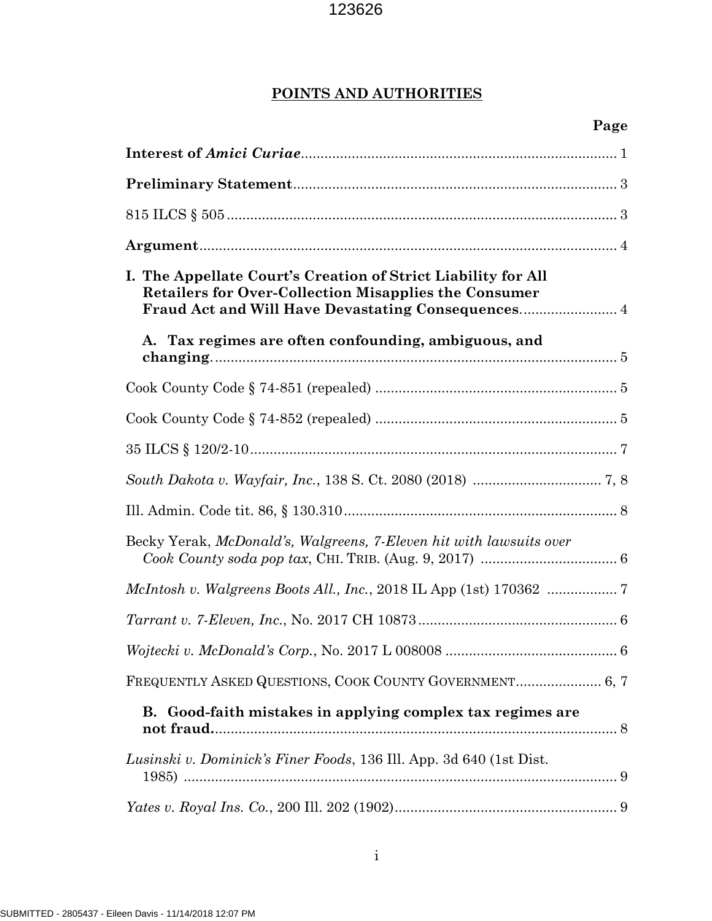# **POINTS AND AUTHORITIES**

| Page                                                                                                                          |
|-------------------------------------------------------------------------------------------------------------------------------|
|                                                                                                                               |
|                                                                                                                               |
|                                                                                                                               |
|                                                                                                                               |
| I. The Appellate Court's Creation of Strict Liability for All<br><b>Retailers for Over-Collection Misapplies the Consumer</b> |
| A. Tax regimes are often confounding, ambiguous, and                                                                          |
|                                                                                                                               |
|                                                                                                                               |
|                                                                                                                               |
|                                                                                                                               |
|                                                                                                                               |
| Becky Yerak, McDonald's, Walgreens, 7-Eleven hit with lawsuits over                                                           |
|                                                                                                                               |
|                                                                                                                               |
|                                                                                                                               |
|                                                                                                                               |
| B. Good-faith mistakes in applying complex tax regimes are                                                                    |
| Lusinski v. Dominick's Finer Foods, 136 Ill. App. 3d 640 (1st Dist.                                                           |
|                                                                                                                               |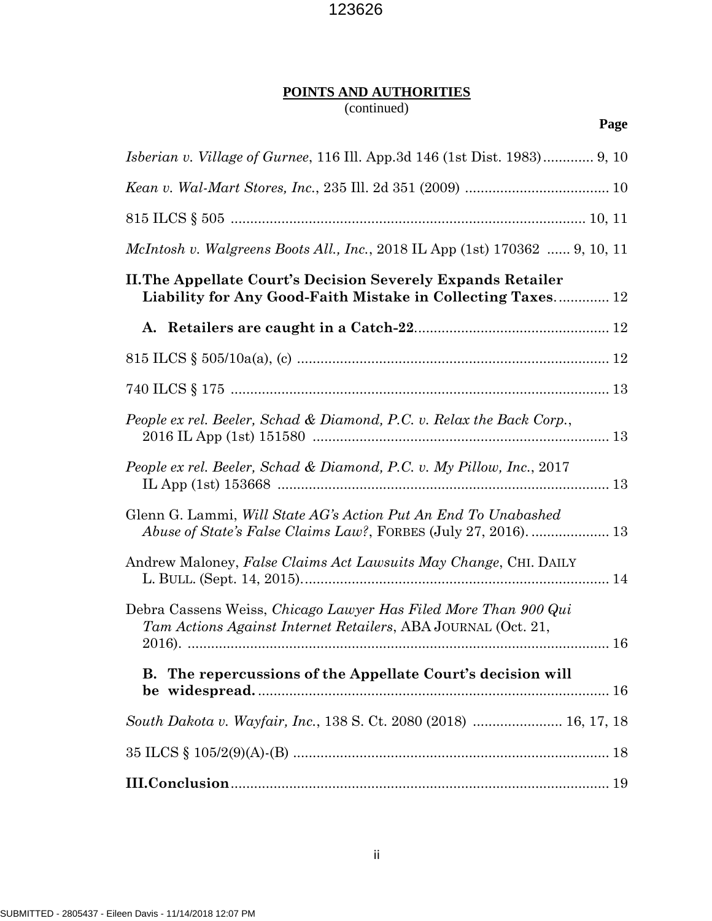# **POINTS AND AUTHORITIES**

# (continued)

| <i>Isberian v. Village of Gurnee,</i> 116 Ill. App.3d 146 (1st Dist. 1983) 9, 10                                                   |
|------------------------------------------------------------------------------------------------------------------------------------|
|                                                                                                                                    |
|                                                                                                                                    |
| <i>McIntosh v. Walgreens Boots All., Inc., 2018 IL App (1st) 170362  9, 10, 11</i>                                                 |
| <b>II. The Appellate Court's Decision Severely Expands Retailer</b><br>Liability for Any Good-Faith Mistake in Collecting Taxes 12 |
|                                                                                                                                    |
|                                                                                                                                    |
|                                                                                                                                    |
| People ex rel. Beeler, Schad & Diamond, P.C. v. Relax the Back Corp.,                                                              |
| People ex rel. Beeler, Schad & Diamond, P.C. v. My Pillow, Inc., 2017                                                              |
| Glenn G. Lammi, Will State AG's Action Put An End To Unabashed                                                                     |
| Andrew Maloney, False Claims Act Lawsuits May Change, CHI. DAILY                                                                   |
| Debra Cassens Weiss, Chicago Lawyer Has Filed More Than 900 Qui<br>Tam Actions Against Internet Retailers, ABA JOURNAL (Oct. 21,   |
| The repercussions of the Appellate Court's decision will<br>В.                                                                     |
| South Dakota v. Wayfair, Inc., 138 S. Ct. 2080 (2018)  16, 17, 18                                                                  |
|                                                                                                                                    |
|                                                                                                                                    |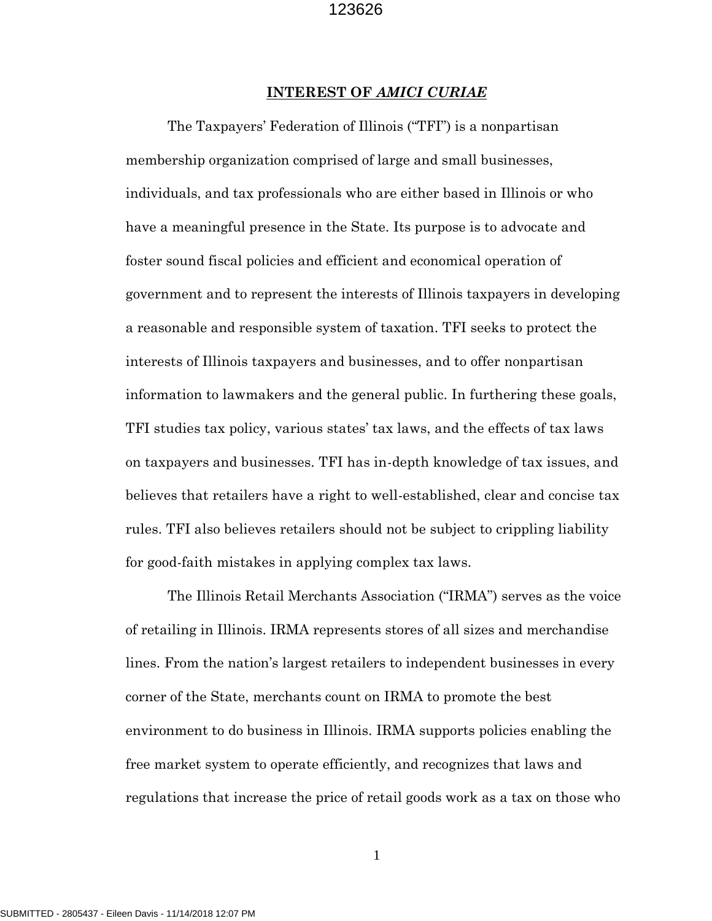#### **INTEREST OF** *AMICI CURIAE*

The Taxpayers' Federation of Illinois ("TFI") is a nonpartisan membership organization comprised of large and small businesses, individuals, and tax professionals who are either based in Illinois or who have a meaningful presence in the State. Its purpose is to advocate and foster sound fiscal policies and efficient and economical operation of government and to represent the interests of Illinois taxpayers in developing a reasonable and responsible system of taxation. TFI seeks to protect the interests of Illinois taxpayers and businesses, and to offer nonpartisan information to lawmakers and the general public. In furthering these goals, TFI studies tax policy, various states' tax laws, and the effects of tax laws on taxpayers and businesses. TFI has in-depth knowledge of tax issues, and believes that retailers have a right to well-established, clear and concise tax rules. TFI also believes retailers should not be subject to crippling liability for good-faith mistakes in applying complex tax laws.

The Illinois Retail Merchants Association ("IRMA") serves as the voice of retailing in Illinois. IRMA represents stores of all sizes and merchandise lines. From the nation's largest retailers to independent businesses in every corner of the State, merchants count on IRMA to promote the best environment to do business in Illinois. IRMA supports policies enabling the free market system to operate efficiently, and recognizes that laws and regulations that increase the price of retail goods work as a tax on those who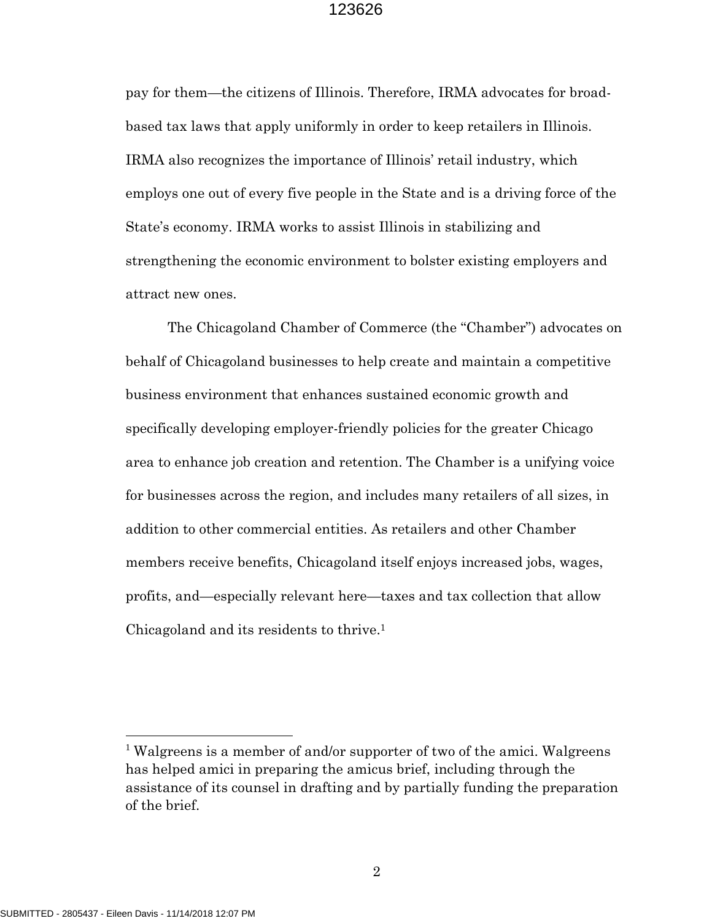pay for them—the citizens of Illinois. Therefore, IRMA advocates for broadbased tax laws that apply uniformly in order to keep retailers in Illinois. IRMA also recognizes the importance of Illinois' retail industry, which employs one out of every five people in the State and is a driving force of the State's economy. IRMA works to assist Illinois in stabilizing and strengthening the economic environment to bolster existing employers and attract new ones.

The Chicagoland Chamber of Commerce (the "Chamber") advocates on behalf of Chicagoland businesses to help create and maintain a competitive business environment that enhances sustained economic growth and specifically developing employer-friendly policies for the greater Chicago area to enhance job creation and retention. The Chamber is a unifying voice for businesses across the region, and includes many retailers of all sizes, in addition to other commercial entities. As retailers and other Chamber members receive benefits, Chicagoland itself enjoys increased jobs, wages, profits, and—especially relevant here—taxes and tax collection that allow Chicagoland and its residents to thrive. 1

<sup>&</sup>lt;sup>1</sup> Walgreens is a member of and/or supporter of two of the amici. Walgreens has helped amici in preparing the amicus brief, including through the assistance of its counsel in drafting and by partially funding the preparation of the brief.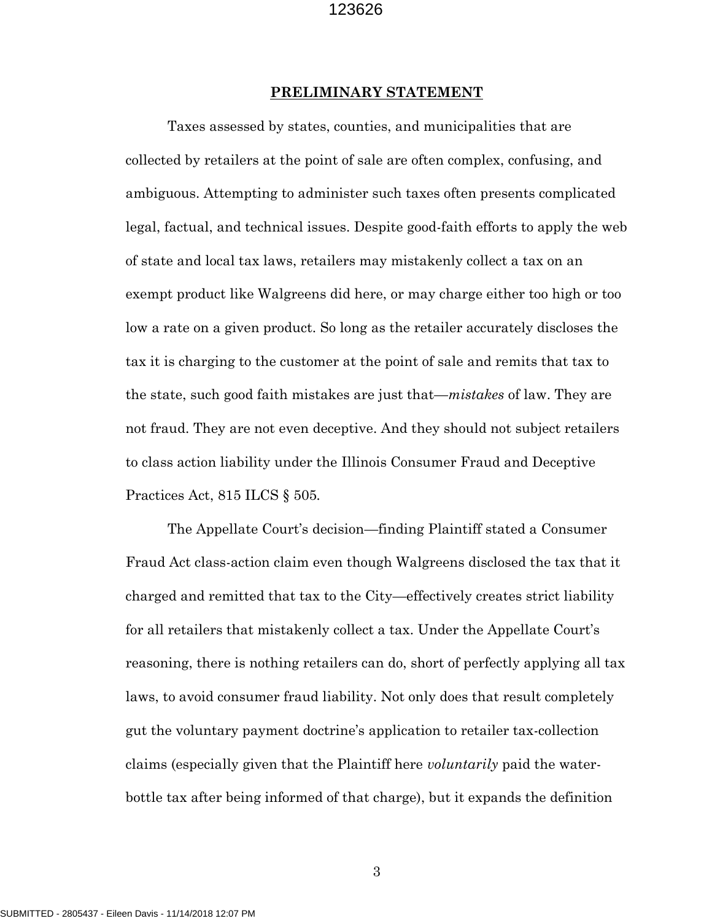#### **PRELIMINARY STATEMENT**

Taxes assessed by states, counties, and municipalities that are collected by retailers at the point of sale are often complex, confusing, and ambiguous. Attempting to administer such taxes often presents complicated legal, factual, and technical issues. Despite good-faith efforts to apply the web of state and local tax laws, retailers may mistakenly collect a tax on an exempt product like Walgreens did here, or may charge either too high or too low a rate on a given product. So long as the retailer accurately discloses the tax it is charging to the customer at the point of sale and remits that tax to the state, such good faith mistakes are just that—*mistakes* of law. They are not fraud. They are not even deceptive. And they should not subject retailers to class action liability under the Illinois Consumer Fraud and Deceptive Practices Act, 815 ILCS § 505*.*

The Appellate Court's decision—finding Plaintiff stated a Consumer Fraud Act class-action claim even though Walgreens disclosed the tax that it charged and remitted that tax to the City—effectively creates strict liability for all retailers that mistakenly collect a tax. Under the Appellate Court's reasoning, there is nothing retailers can do, short of perfectly applying all tax laws, to avoid consumer fraud liability. Not only does that result completely gut the voluntary payment doctrine's application to retailer tax-collection claims (especially given that the Plaintiff here *voluntarily* paid the waterbottle tax after being informed of that charge), but it expands the definition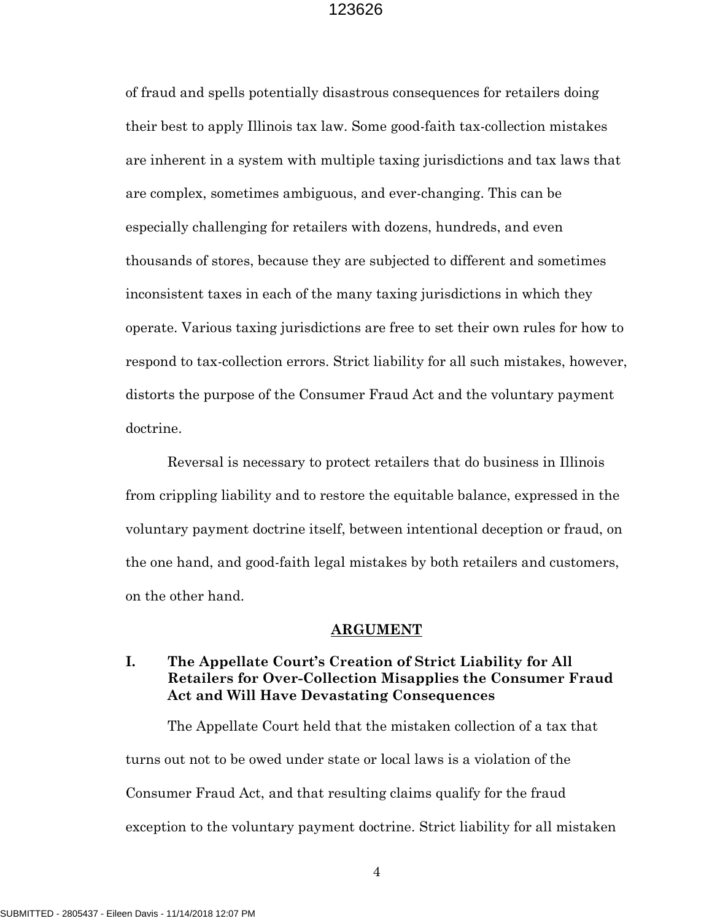of fraud and spells potentially disastrous consequences for retailers doing their best to apply Illinois tax law. Some good-faith tax-collection mistakes are inherent in a system with multiple taxing jurisdictions and tax laws that are complex, sometimes ambiguous, and ever-changing. This can be especially challenging for retailers with dozens, hundreds, and even thousands of stores, because they are subjected to different and sometimes inconsistent taxes in each of the many taxing jurisdictions in which they operate. Various taxing jurisdictions are free to set their own rules for how to respond to tax-collection errors. Strict liability for all such mistakes, however, distorts the purpose of the Consumer Fraud Act and the voluntary payment doctrine.

Reversal is necessary to protect retailers that do business in Illinois from crippling liability and to restore the equitable balance, expressed in the voluntary payment doctrine itself, between intentional deception or fraud, on the one hand, and good-faith legal mistakes by both retailers and customers, on the other hand.

#### **ARGUMENT**

## **I. The Appellate Court's Creation of Strict Liability for All Retailers for Over-Collection Misapplies the Consumer Fraud Act and Will Have Devastating Consequences**

The Appellate Court held that the mistaken collection of a tax that turns out not to be owed under state or local laws is a violation of the Consumer Fraud Act, and that resulting claims qualify for the fraud exception to the voluntary payment doctrine. Strict liability for all mistaken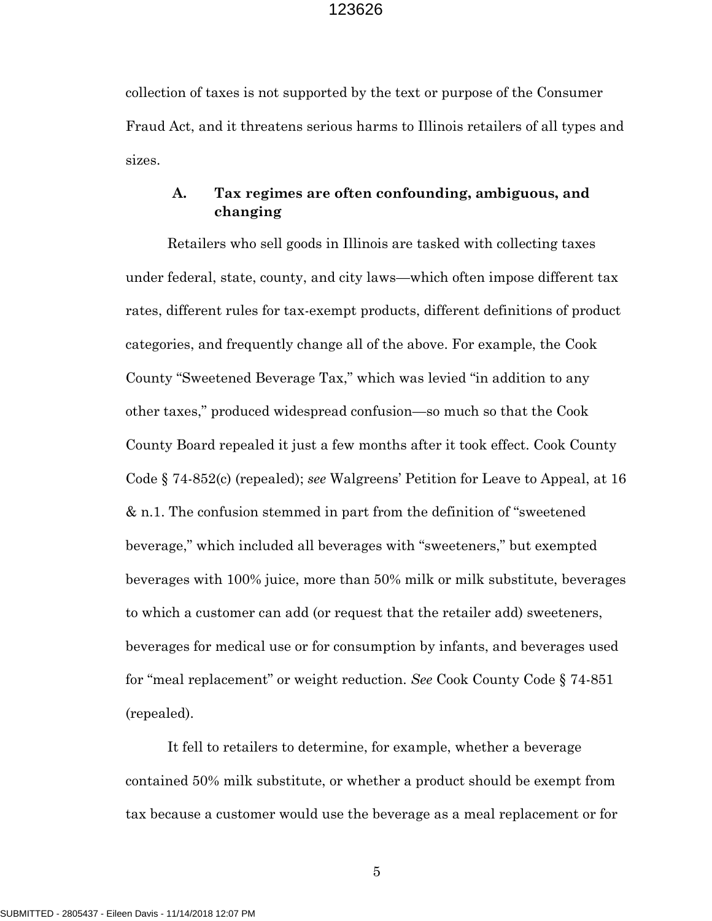collection of taxes is not supported by the text or purpose of the Consumer Fraud Act, and it threatens serious harms to Illinois retailers of all types and sizes.

## **A. Tax regimes are often confounding, ambiguous, and changing**

Retailers who sell goods in Illinois are tasked with collecting taxes under federal, state, county, and city laws—which often impose different tax rates, different rules for tax-exempt products, different definitions of product categories, and frequently change all of the above. For example, the Cook County "Sweetened Beverage Tax," which was levied "in addition to any other taxes," produced widespread confusion—so much so that the Cook County Board repealed it just a few months after it took effect. Cook County Code § 74-852(c) (repealed); *see* Walgreens' Petition for Leave to Appeal, at 16 & n.1. The confusion stemmed in part from the definition of "sweetened beverage," which included all beverages with "sweeteners," but exempted beverages with 100% juice, more than 50% milk or milk substitute, beverages to which a customer can add (or request that the retailer add) sweeteners, beverages for medical use or for consumption by infants, and beverages used for "meal replacement" or weight reduction. *See* Cook County Code § 74-851 (repealed).

It fell to retailers to determine, for example, whether a beverage contained 50% milk substitute, or whether a product should be exempt from tax because a customer would use the beverage as a meal replacement or for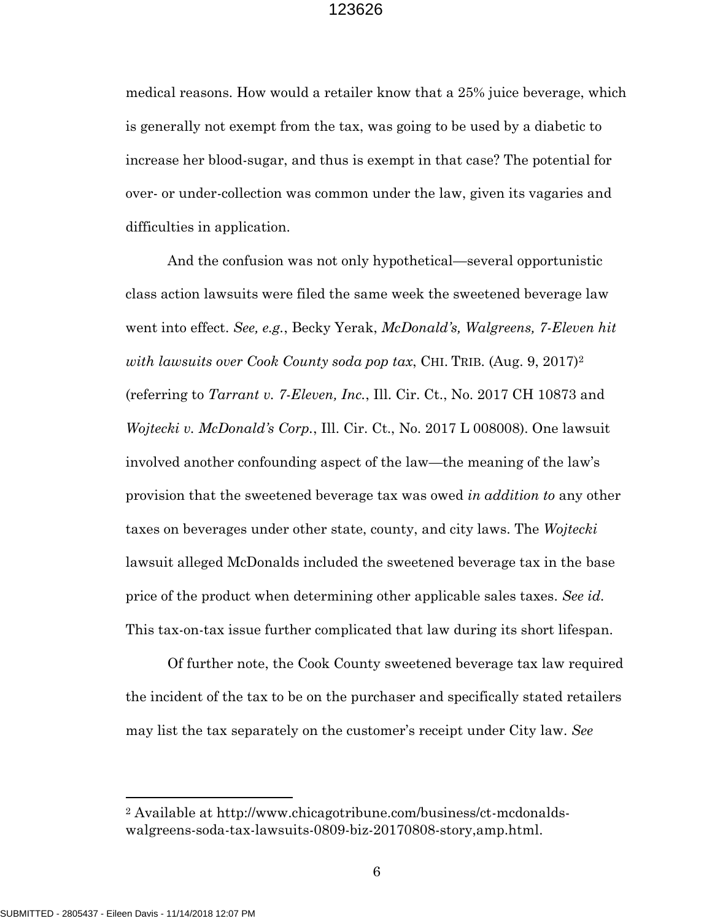medical reasons. How would a retailer know that a 25% juice beverage, which is generally not exempt from the tax, was going to be used by a diabetic to increase her blood-sugar, and thus is exempt in that case? The potential for over- or under-collection was common under the law, given its vagaries and difficulties in application.

And the confusion was not only hypothetical—several opportunistic class action lawsuits were filed the same week the sweetened beverage law went into effect. *See, e.g.*, Becky Yerak, *McDonald's, Walgreens, 7-Eleven hit with lawsuits over Cook County soda pop tax*, CHI. TRIB. (Aug. 9, 2017)<sup>2</sup> (referring to *Tarrant v. 7-Eleven, Inc.*, Ill. Cir. Ct., No. 2017 CH 10873 and *Wojtecki v. McDonald's Corp.*, Ill. Cir. Ct., No. 2017 L 008008). One lawsuit involved another confounding aspect of the law—the meaning of the law's provision that the sweetened beverage tax was owed *in addition to* any other taxes on beverages under other state, county, and city laws. The *Wojtecki* lawsuit alleged McDonalds included the sweetened beverage tax in the base price of the product when determining other applicable sales taxes. *See id.* This tax-on-tax issue further complicated that law during its short lifespan.

Of further note, the Cook County sweetened beverage tax law required the incident of the tax to be on the purchaser and specifically stated retailers may list the tax separately on the customer's receipt under City law. *See*

<sup>2</sup> Available at http://www.chicagotribune.com/business/ct-mcdonaldswalgreens-soda-tax-lawsuits-0809-biz-20170808-story,amp.html.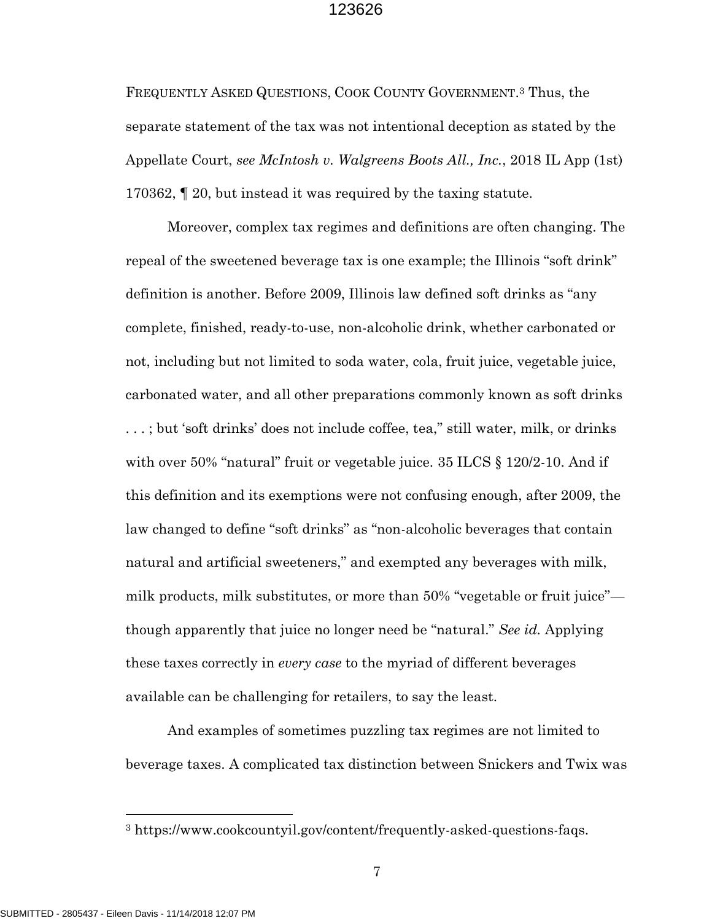FREQUENTLY ASKED QUESTIONS, COOK COUNTY GOVERNMENT. <sup>3</sup> Thus, the separate statement of the tax was not intentional deception as stated by the Appellate Court, *see McIntosh v. Walgreens Boots All., Inc.*, 2018 IL App (1st) 170362, ¶ 20, but instead it was required by the taxing statute.

Moreover, complex tax regimes and definitions are often changing. The repeal of the sweetened beverage tax is one example; the Illinois "soft drink" definition is another. Before 2009, Illinois law defined soft drinks as "any complete, finished, ready-to-use, non-alcoholic drink, whether carbonated or not, including but not limited to soda water, cola, fruit juice, vegetable juice, carbonated water, and all other preparations commonly known as soft drinks ...; but 'soft drinks' does not include coffee, tea," still water, milk, or drinks with over 50% "natural" fruit or vegetable juice. 35 ILCS § 120/2-10. And if this definition and its exemptions were not confusing enough, after 2009, the law changed to define "soft drinks" as "non-alcoholic beverages that contain natural and artificial sweeteners," and exempted any beverages with milk, milk products, milk substitutes, or more than 50% "vegetable or fruit juice" though apparently that juice no longer need be "natural." *See id.* Applying these taxes correctly in *every case* to the myriad of different beverages available can be challenging for retailers, to say the least.

And examples of sometimes puzzling tax regimes are not limited to beverage taxes. A complicated tax distinction between Snickers and Twix was

7

<sup>3</sup> https://www.cookcountyil.gov/content/frequently-asked-questions-faqs.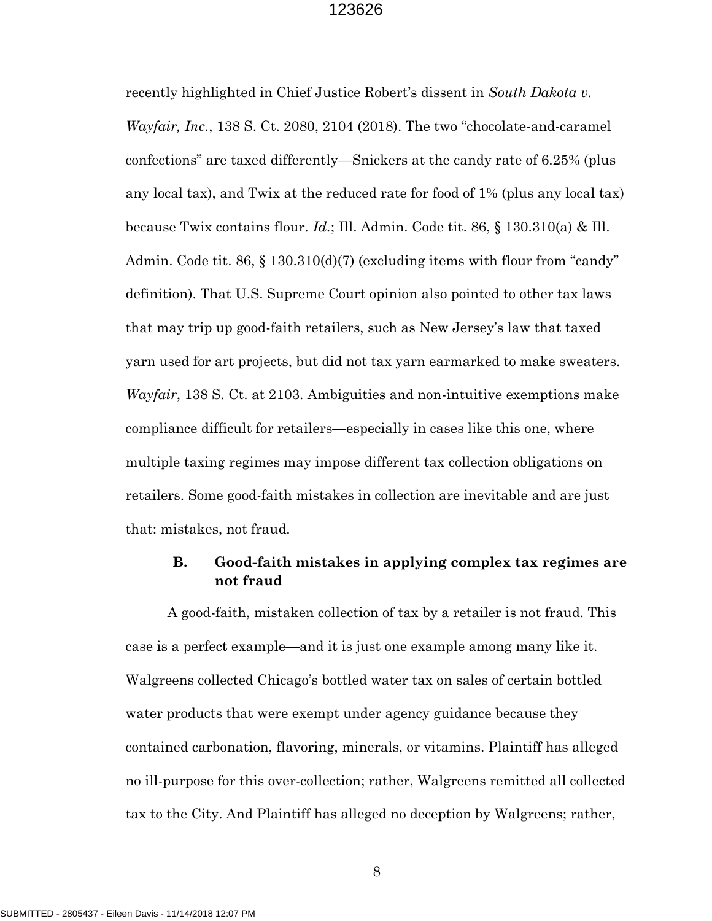recently highlighted in Chief Justice Robert's dissent in *South Dakota v. Wayfair, Inc.*, 138 S. Ct. 2080, 2104 (2018). The two "chocolate-and-caramel confections" are taxed differently—Snickers at the candy rate of 6.25% (plus any local tax), and Twix at the reduced rate for food of 1% (plus any local tax) because Twix contains flour. *Id.*; Ill. Admin. Code tit. 86, § 130.310(a) & Ill. Admin. Code tit. 86, § 130.310(d)(7) (excluding items with flour from "candy" definition). That U.S. Supreme Court opinion also pointed to other tax laws that may trip up good-faith retailers, such as New Jersey's law that taxed yarn used for art projects, but did not tax yarn earmarked to make sweaters. *Wayfair*, 138 S. Ct. at 2103. Ambiguities and non-intuitive exemptions make compliance difficult for retailers—especially in cases like this one, where multiple taxing regimes may impose different tax collection obligations on retailers. Some good-faith mistakes in collection are inevitable and are just that: mistakes, not fraud.

## **B. Good-faith mistakes in applying complex tax regimes are not fraud**

A good-faith, mistaken collection of tax by a retailer is not fraud. This case is a perfect example—and it is just one example among many like it. Walgreens collected Chicago's bottled water tax on sales of certain bottled water products that were exempt under agency guidance because they contained carbonation, flavoring, minerals, or vitamins. Plaintiff has alleged no ill-purpose for this over-collection; rather, Walgreens remitted all collected tax to the City. And Plaintiff has alleged no deception by Walgreens; rather,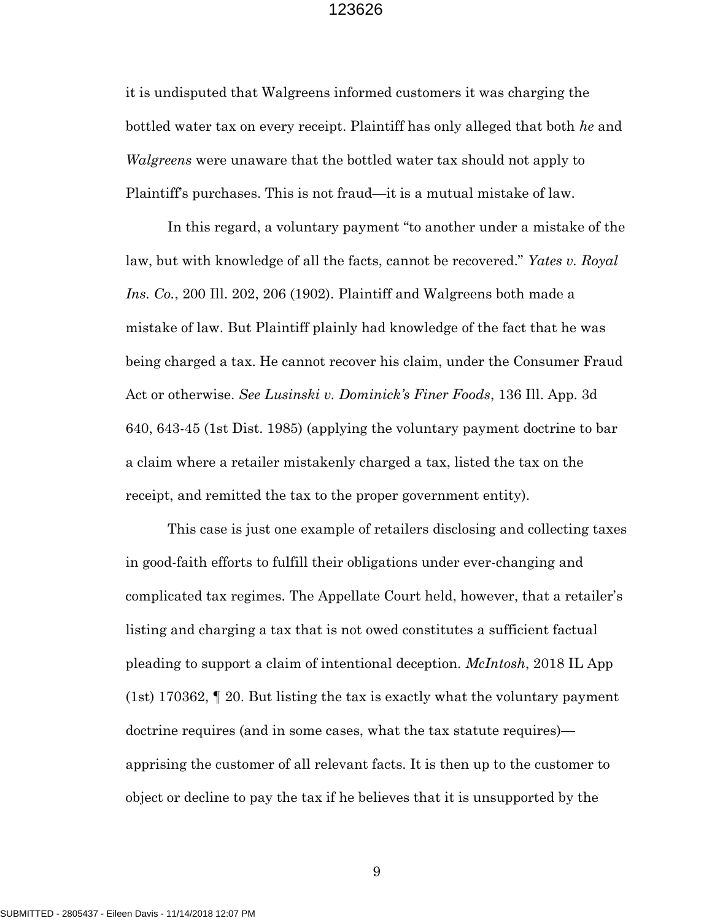it is undisputed that Walgreens informed customers it was charging the bottled water tax on every receipt. Plaintiff has only alleged that both *he* and *Walgreens* were unaware that the bottled water tax should not apply to Plaintiff's purchases. This is not fraud—it is a mutual mistake of law.

In this regard, a voluntary payment "to another under a mistake of the law, but with knowledge of all the facts, cannot be recovered." *Yates v. Royal Ins. Co.*, 200 Ill. 202, 206 (1902). Plaintiff and Walgreens both made a mistake of law. But Plaintiff plainly had knowledge of the fact that he was being charged a tax. He cannot recover his claim, under the Consumer Fraud Act or otherwise. *See Lusinski v. Dominick's Finer Foods*, 136 Ill. App. 3d 640, 643-45 (1st Dist. 1985) (applying the voluntary payment doctrine to bar a claim where a retailer mistakenly charged a tax, listed the tax on the receipt, and remitted the tax to the proper government entity).

This case is just one example of retailers disclosing and collecting taxes in good-faith efforts to fulfill their obligations under ever-changing and complicated tax regimes. The Appellate Court held, however, that a retailer's listing and charging a tax that is not owed constitutes a sufficient factual pleading to support a claim of intentional deception. *McIntosh*, 2018 IL App (1st) 170362, ¶ 20. But listing the tax is exactly what the voluntary payment doctrine requires (and in some cases, what the tax statute requires) apprising the customer of all relevant facts. It is then up to the customer to object or decline to pay the tax if he believes that it is unsupported by the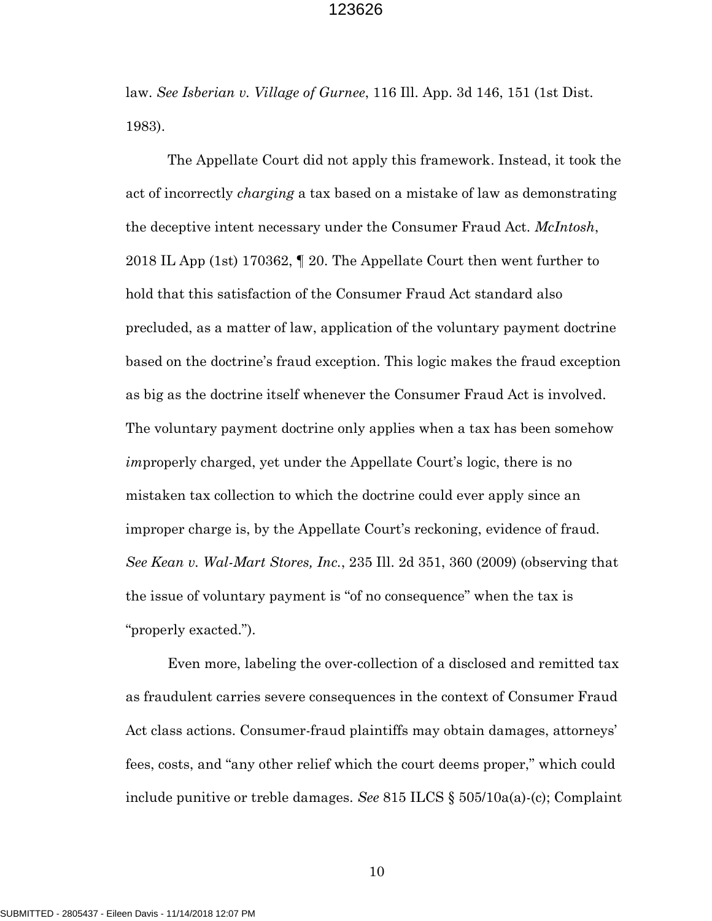law. *See Isberian v. Village of Gurnee*, 116 Ill. App. 3d 146, 151 (1st Dist. 1983).

The Appellate Court did not apply this framework. Instead, it took the act of incorrectly *charging* a tax based on a mistake of law as demonstrating the deceptive intent necessary under the Consumer Fraud Act. *McIntosh*, 2018 IL App (1st) 170362, ¶ 20. The Appellate Court then went further to hold that this satisfaction of the Consumer Fraud Act standard also precluded, as a matter of law, application of the voluntary payment doctrine based on the doctrine's fraud exception. This logic makes the fraud exception as big as the doctrine itself whenever the Consumer Fraud Act is involved. The voluntary payment doctrine only applies when a tax has been somehow *im*properly charged, yet under the Appellate Court's logic, there is no mistaken tax collection to which the doctrine could ever apply since an improper charge is, by the Appellate Court's reckoning, evidence of fraud. *See Kean v. Wal-Mart Stores, Inc.*, 235 Ill. 2d 351, 360 (2009) (observing that the issue of voluntary payment is "of no consequence" when the tax is "properly exacted.").

Even more, labeling the over-collection of a disclosed and remitted tax as fraudulent carries severe consequences in the context of Consumer Fraud Act class actions. Consumer-fraud plaintiffs may obtain damages, attorneys' fees, costs, and "any other relief which the court deems proper," which could include punitive or treble damages. *See* 815 ILCS § 505/10a(a)-(c); Complaint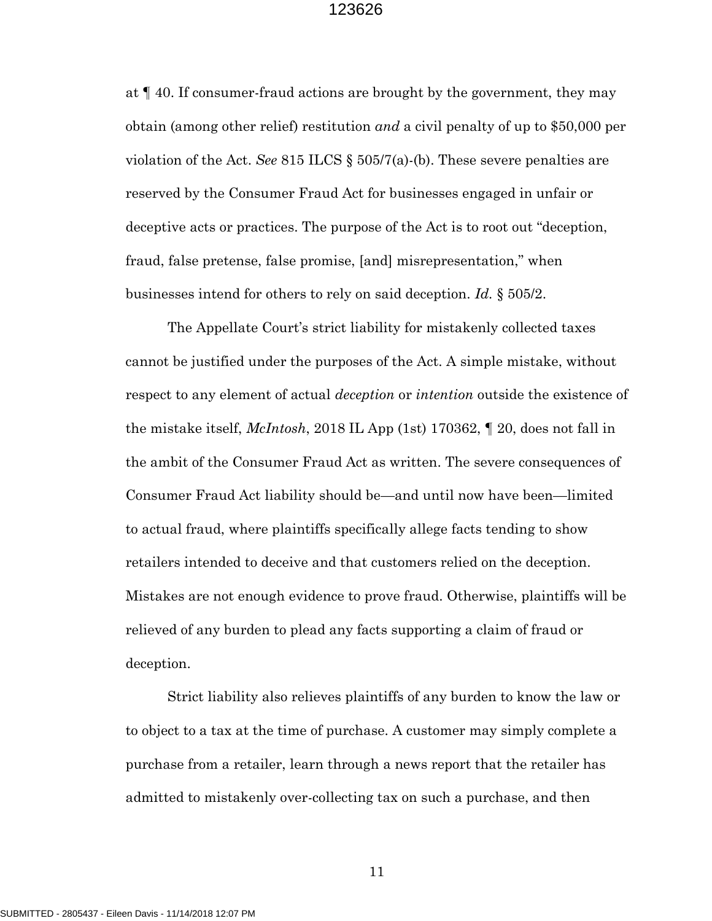at ¶ 40. If consumer-fraud actions are brought by the government, they may obtain (among other relief) restitution *and* a civil penalty of up to \$50,000 per violation of the Act. *See* 815 ILCS  $\S$  505/7(a)-(b). These severe penalties are reserved by the Consumer Fraud Act for businesses engaged in unfair or deceptive acts or practices. The purpose of the Act is to root out "deception, fraud, false pretense, false promise, [and] misrepresentation," when businesses intend for others to rely on said deception. *Id.* § 505/2.

The Appellate Court's strict liability for mistakenly collected taxes cannot be justified under the purposes of the Act. A simple mistake, without respect to any element of actual *deception* or *intention* outside the existence of the mistake itself, *McIntosh*, 2018 IL App (1st) 170362, ¶ 20, does not fall in the ambit of the Consumer Fraud Act as written. The severe consequences of Consumer Fraud Act liability should be—and until now have been—limited to actual fraud, where plaintiffs specifically allege facts tending to show retailers intended to deceive and that customers relied on the deception. Mistakes are not enough evidence to prove fraud. Otherwise, plaintiffs will be relieved of any burden to plead any facts supporting a claim of fraud or deception.

Strict liability also relieves plaintiffs of any burden to know the law or to object to a tax at the time of purchase. A customer may simply complete a purchase from a retailer, learn through a news report that the retailer has admitted to mistakenly over-collecting tax on such a purchase, and then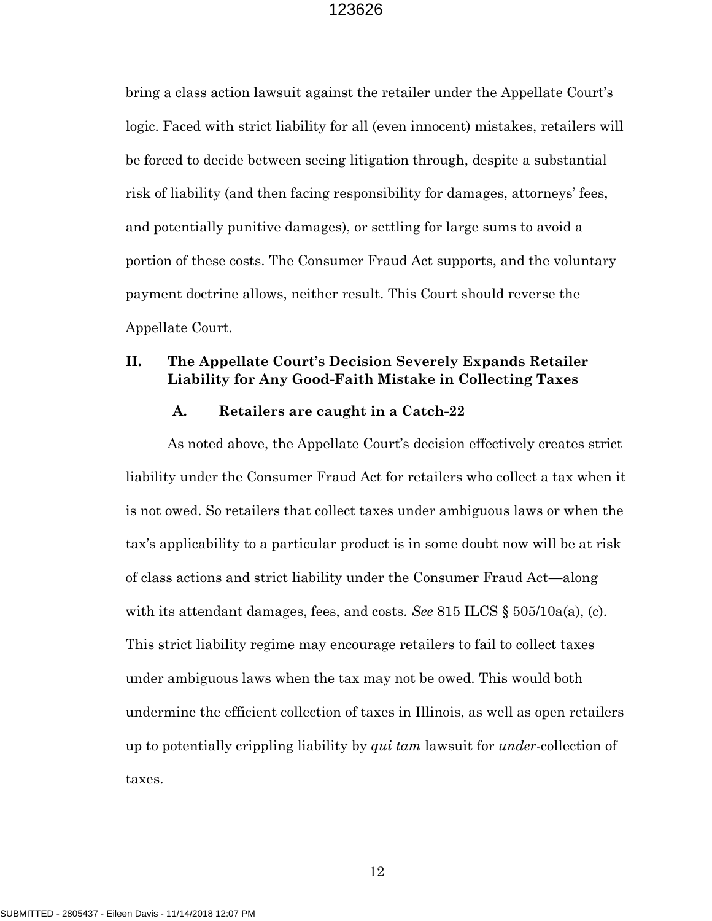bring a class action lawsuit against the retailer under the Appellate Court's logic. Faced with strict liability for all (even innocent) mistakes, retailers will be forced to decide between seeing litigation through, despite a substantial risk of liability (and then facing responsibility for damages, attorneys' fees, and potentially punitive damages), or settling for large sums to avoid a portion of these costs. The Consumer Fraud Act supports, and the voluntary payment doctrine allows, neither result. This Court should reverse the Appellate Court.

### **II. The Appellate Court's Decision Severely Expands Retailer Liability for Any Good-Faith Mistake in Collecting Taxes**

#### **A. Retailers are caught in a Catch-22**

As noted above, the Appellate Court's decision effectively creates strict liability under the Consumer Fraud Act for retailers who collect a tax when it is not owed. So retailers that collect taxes under ambiguous laws or when the tax's applicability to a particular product is in some doubt now will be at risk of class actions and strict liability under the Consumer Fraud Act—along with its attendant damages, fees, and costs. *See* 815 ILCS § 505/10a(a), (c). This strict liability regime may encourage retailers to fail to collect taxes under ambiguous laws when the tax may not be owed. This would both undermine the efficient collection of taxes in Illinois, as well as open retailers up to potentially crippling liability by *qui tam* lawsuit for *under*-collection of taxes.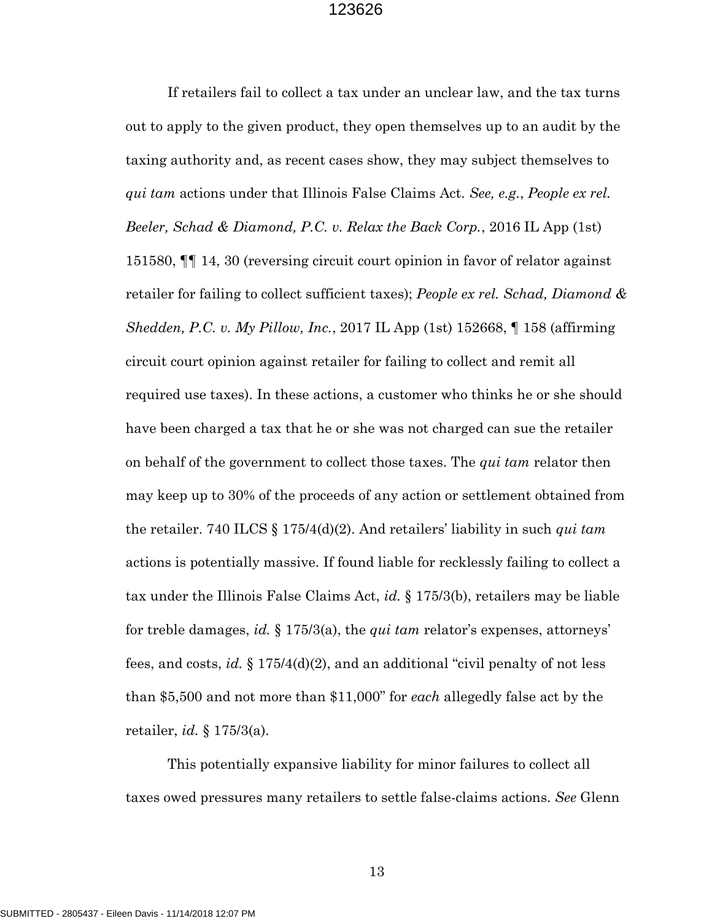If retailers fail to collect a tax under an unclear law, and the tax turns out to apply to the given product, they open themselves up to an audit by the taxing authority and, as recent cases show, they may subject themselves to *qui tam* actions under that Illinois False Claims Act. *See, e.g.*, *People ex rel. Beeler, Schad & Diamond, P.C. v. Relax the Back Corp.*, 2016 IL App (1st) 151580, ¶¶ 14, 30 (reversing circuit court opinion in favor of relator against retailer for failing to collect sufficient taxes); *People ex rel. Schad, Diamond & Shedden, P.C. v. My Pillow, Inc.*, 2017 IL App (1st) 152668, ¶ 158 (affirming circuit court opinion against retailer for failing to collect and remit all required use taxes). In these actions, a customer who thinks he or she should have been charged a tax that he or she was not charged can sue the retailer on behalf of the government to collect those taxes. The *qui tam* relator then may keep up to 30% of the proceeds of any action or settlement obtained from the retailer. 740 ILCS § 175/4(d)(2). And retailers' liability in such *qui tam* actions is potentially massive. If found liable for recklessly failing to collect a tax under the Illinois False Claims Act, *id.* § 175/3(b), retailers may be liable for treble damages, *id.* § 175/3(a), the *qui tam* relator's expenses, attorneys' fees, and costs, *id.* § 175/4(d)(2), and an additional "civil penalty of not less than \$5,500 and not more than \$11,000" for *each* allegedly false act by the retailer, *id.* § 175/3(a).

This potentially expansive liability for minor failures to collect all taxes owed pressures many retailers to settle false-claims actions. *See* Glenn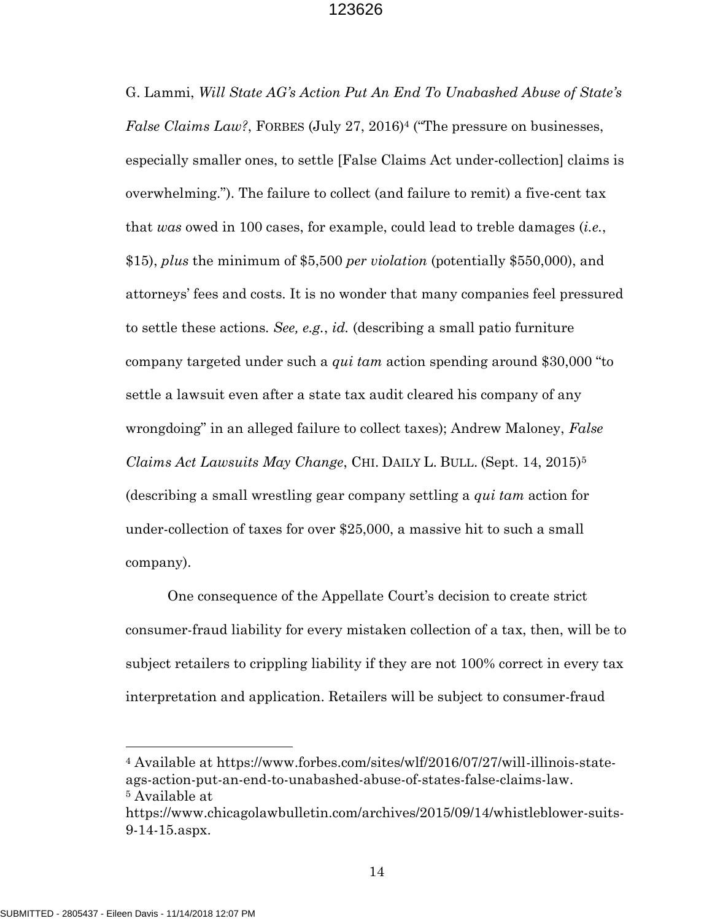G. Lammi, *Will State AG's Action Put An End To Unabashed Abuse of State's False Claims Law?*, FORBES (July 27, 2016)<sup>4</sup> ("The pressure on businesses, especially smaller ones, to settle [False Claims Act under-collection] claims is overwhelming."). The failure to collect (and failure to remit) a five-cent tax that *was* owed in 100 cases, for example, could lead to treble damages (*i.e.*, \$15), *plus* the minimum of \$5,500 *per violation* (potentially \$550,000), and attorneys' fees and costs. It is no wonder that many companies feel pressured to settle these actions. *See, e.g.*, *id.* (describing a small patio furniture company targeted under such a *qui tam* action spending around \$30,000 "to settle a lawsuit even after a state tax audit cleared his company of any wrongdoing" in an alleged failure to collect taxes); Andrew Maloney, *False Claims Act Lawsuits May Change*, CHI. DAILY L. BULL. (Sept. 14, 2015)<sup>5</sup> (describing a small wrestling gear company settling a *qui tam* action for under-collection of taxes for over \$25,000, a massive hit to such a small company).

One consequence of the Appellate Court's decision to create strict consumer-fraud liability for every mistaken collection of a tax, then, will be to subject retailers to crippling liability if they are not 100% correct in every tax interpretation and application. Retailers will be subject to consumer-fraud

<sup>4</sup> Available at https://www.forbes.com/sites/wlf/2016/07/27/will-illinois-stateags-action-put-an-end-to-unabashed-abuse-of-states-false-claims-law. <sup>5</sup> Available at

https://www.chicagolawbulletin.com/archives/2015/09/14/whistleblower-suits-9-14-15.aspx.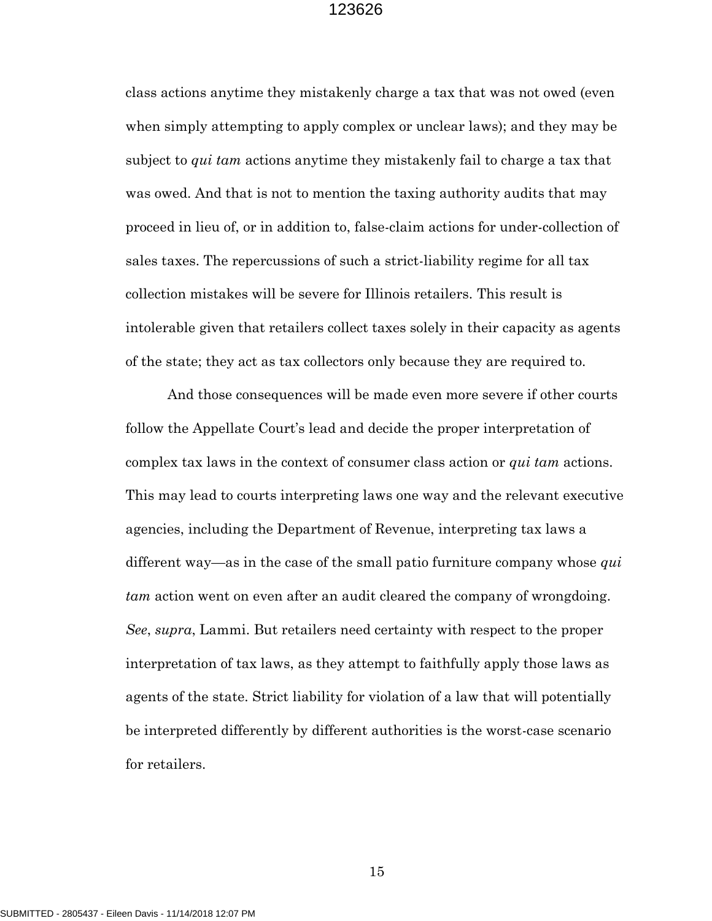class actions anytime they mistakenly charge a tax that was not owed (even when simply attempting to apply complex or unclear laws); and they may be subject to *qui tam* actions anytime they mistakenly fail to charge a tax that was owed. And that is not to mention the taxing authority audits that may proceed in lieu of, or in addition to, false-claim actions for under-collection of sales taxes. The repercussions of such a strict-liability regime for all tax collection mistakes will be severe for Illinois retailers. This result is intolerable given that retailers collect taxes solely in their capacity as agents of the state; they act as tax collectors only because they are required to.

And those consequences will be made even more severe if other courts follow the Appellate Court's lead and decide the proper interpretation of complex tax laws in the context of consumer class action or *qui tam* actions. This may lead to courts interpreting laws one way and the relevant executive agencies, including the Department of Revenue, interpreting tax laws a different way—as in the case of the small patio furniture company whose *qui tam* action went on even after an audit cleared the company of wrongdoing. *See*, *supra*, Lammi. But retailers need certainty with respect to the proper interpretation of tax laws, as they attempt to faithfully apply those laws as agents of the state. Strict liability for violation of a law that will potentially be interpreted differently by different authorities is the worst-case scenario for retailers.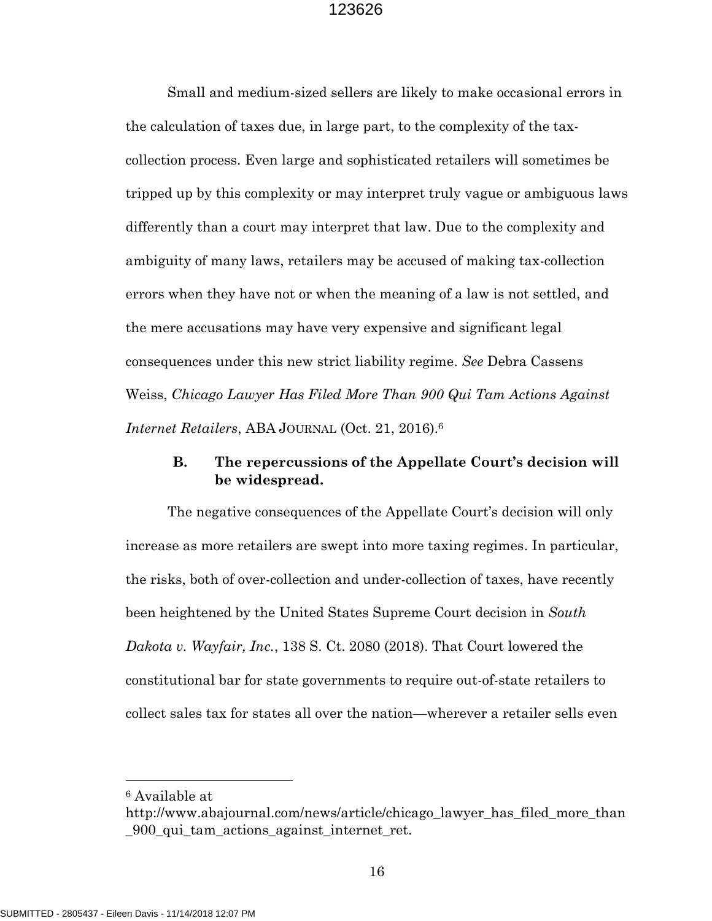Small and medium-sized sellers are likely to make occasional errors in the calculation of taxes due, in large part, to the complexity of the taxcollection process. Even large and sophisticated retailers will sometimes be tripped up by this complexity or may interpret truly vague or ambiguous laws differently than a court may interpret that law. Due to the complexity and ambiguity of many laws, retailers may be accused of making tax-collection errors when they have not or when the meaning of a law is not settled, and the mere accusations may have very expensive and significant legal consequences under this new strict liability regime. *See* Debra Cassens Weiss, *Chicago Lawyer Has Filed More Than 900 Qui Tam Actions Against Internet Retailers*, ABA JOURNAL (Oct. 21, 2016).<sup>6</sup>

## **B. The repercussions of the Appellate Court's decision will be widespread.**

The negative consequences of the Appellate Court's decision will only increase as more retailers are swept into more taxing regimes. In particular, the risks, both of over-collection and under-collection of taxes, have recently been heightened by the United States Supreme Court decision in *South Dakota v. Wayfair, Inc.*, 138 S. Ct. 2080 (2018). That Court lowered the constitutional bar for state governments to require out-of-state retailers to collect sales tax for states all over the nation—wherever a retailer sells even

<sup>6</sup> Available at

http://www.abajournal.com/news/article/chicago\_lawyer\_has\_filed\_more\_than \_900\_qui\_tam\_actions\_against\_internet\_ret.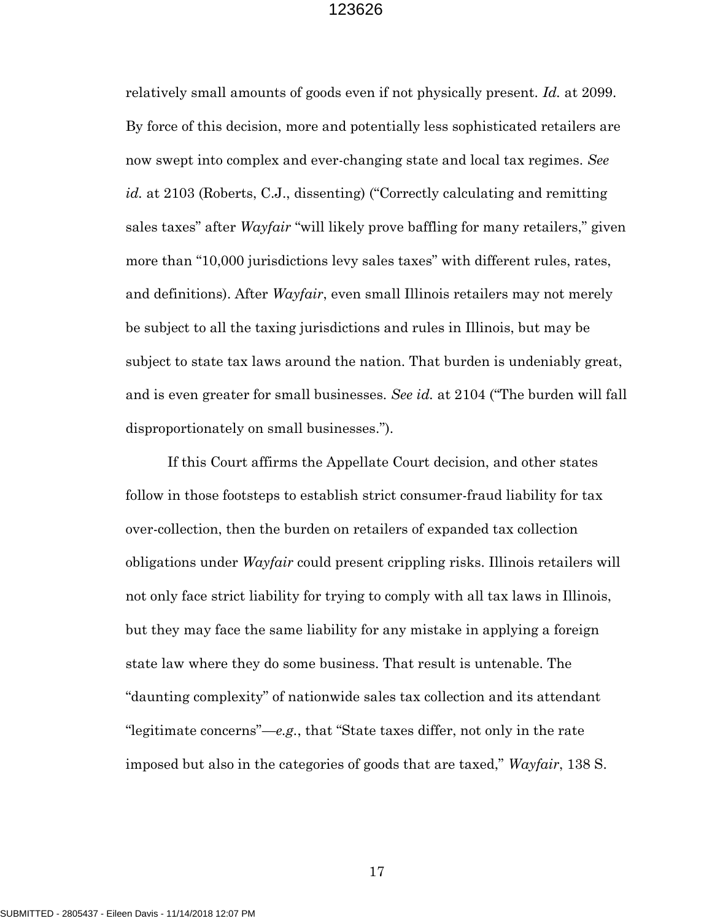relatively small amounts of goods even if not physically present. *Id.* at 2099. By force of this decision, more and potentially less sophisticated retailers are now swept into complex and ever-changing state and local tax regimes. *See id.* at 2103 (Roberts, C.J., dissenting) ("Correctly calculating and remitting sales taxes" after *Wayfair* "will likely prove baffling for many retailers," given more than "10,000 jurisdictions levy sales taxes" with different rules, rates, and definitions). After *Wayfair*, even small Illinois retailers may not merely be subject to all the taxing jurisdictions and rules in Illinois, but may be subject to state tax laws around the nation. That burden is undeniably great, and is even greater for small businesses. *See id.* at 2104 ("The burden will fall disproportionately on small businesses.").

If this Court affirms the Appellate Court decision, and other states follow in those footsteps to establish strict consumer-fraud liability for tax over-collection, then the burden on retailers of expanded tax collection obligations under *Wayfair* could present crippling risks. Illinois retailers will not only face strict liability for trying to comply with all tax laws in Illinois, but they may face the same liability for any mistake in applying a foreign state law where they do some business. That result is untenable. The "daunting complexity" of nationwide sales tax collection and its attendant "legitimate concerns"—*e.g.*, that "State taxes differ, not only in the rate imposed but also in the categories of goods that are taxed," *Wayfair*, 138 S.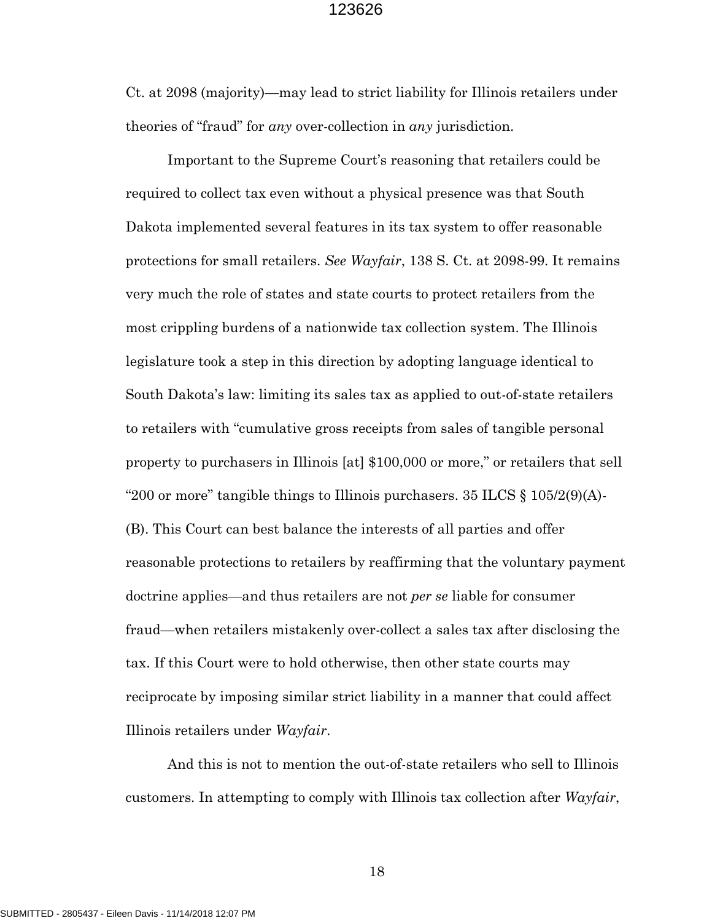Ct. at 2098 (majority)—may lead to strict liability for Illinois retailers under theories of "fraud" for *any* over-collection in *any* jurisdiction.

Important to the Supreme Court's reasoning that retailers could be required to collect tax even without a physical presence was that South Dakota implemented several features in its tax system to offer reasonable protections for small retailers. *See Wayfair*, 138 S. Ct. at 2098-99. It remains very much the role of states and state courts to protect retailers from the most crippling burdens of a nationwide tax collection system. The Illinois legislature took a step in this direction by adopting language identical to South Dakota's law: limiting its sales tax as applied to out-of-state retailers to retailers with "cumulative gross receipts from sales of tangible personal property to purchasers in Illinois [at] \$100,000 or more," or retailers that sell "200 or more" tangible things to Illinois purchasers.  $35$  ILCS  $\S$  105/2(9)(A)-(B). This Court can best balance the interests of all parties and offer reasonable protections to retailers by reaffirming that the voluntary payment doctrine applies—and thus retailers are not *per se* liable for consumer fraud—when retailers mistakenly over-collect a sales tax after disclosing the tax. If this Court were to hold otherwise, then other state courts may reciprocate by imposing similar strict liability in a manner that could affect Illinois retailers under *Wayfair*.

And this is not to mention the out-of-state retailers who sell to Illinois customers. In attempting to comply with Illinois tax collection after *Wayfair*,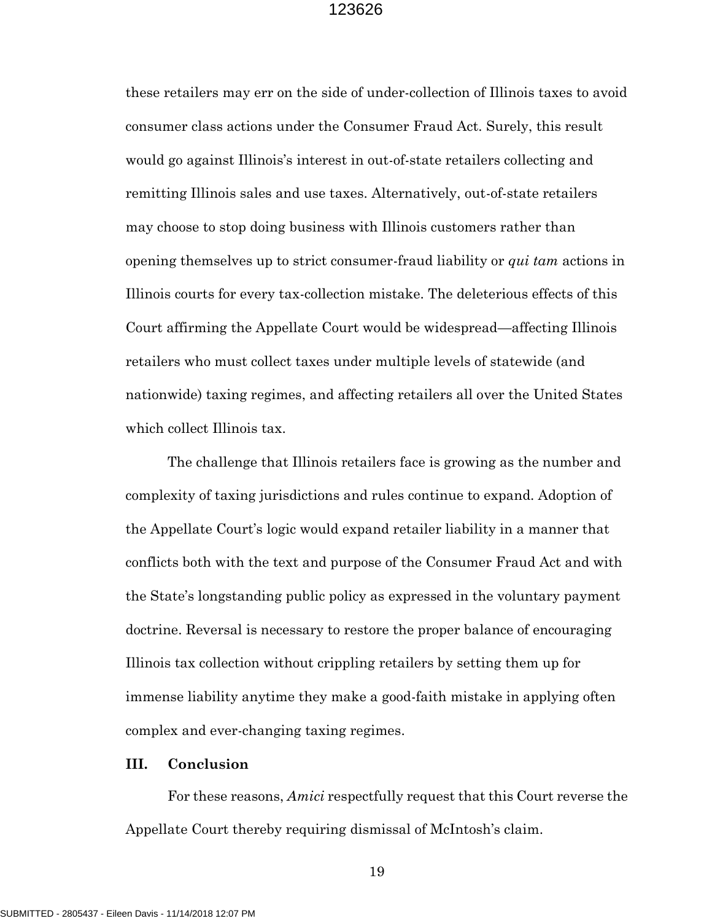these retailers may err on the side of under-collection of Illinois taxes to avoid consumer class actions under the Consumer Fraud Act. Surely, this result would go against Illinois's interest in out-of-state retailers collecting and remitting Illinois sales and use taxes. Alternatively, out-of-state retailers may choose to stop doing business with Illinois customers rather than opening themselves up to strict consumer-fraud liability or *qui tam* actions in Illinois courts for every tax-collection mistake. The deleterious effects of this Court affirming the Appellate Court would be widespread—affecting Illinois retailers who must collect taxes under multiple levels of statewide (and nationwide) taxing regimes, and affecting retailers all over the United States which collect Illinois tax.

The challenge that Illinois retailers face is growing as the number and complexity of taxing jurisdictions and rules continue to expand. Adoption of the Appellate Court's logic would expand retailer liability in a manner that conflicts both with the text and purpose of the Consumer Fraud Act and with the State's longstanding public policy as expressed in the voluntary payment doctrine. Reversal is necessary to restore the proper balance of encouraging Illinois tax collection without crippling retailers by setting them up for immense liability anytime they make a good-faith mistake in applying often complex and ever-changing taxing regimes.

#### **III. Conclusion**

For these reasons, *Amici* respectfully request that this Court reverse the Appellate Court thereby requiring dismissal of McIntosh's claim.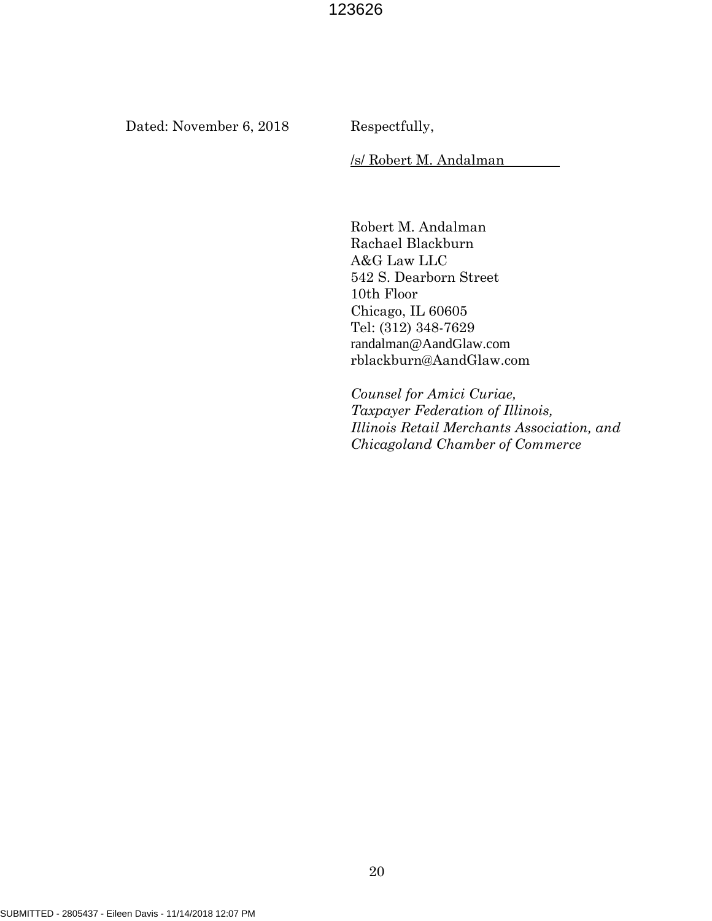Dated: November 6, 2018 Respectfully,

/s/ Robert M. Andalman

Robert M. Andalman Rachael Blackburn A&G Law LLC 542 S. Dearborn Street 10th Floor Chicago, IL 60605 Tel: (312) 348-7629 randalman@AandGlaw.com rblackburn@AandGlaw.com

*Counsel for Amici Curiae, Taxpayer Federation of Illinois, Illinois Retail Merchants Association, and Chicagoland Chamber of Commerce*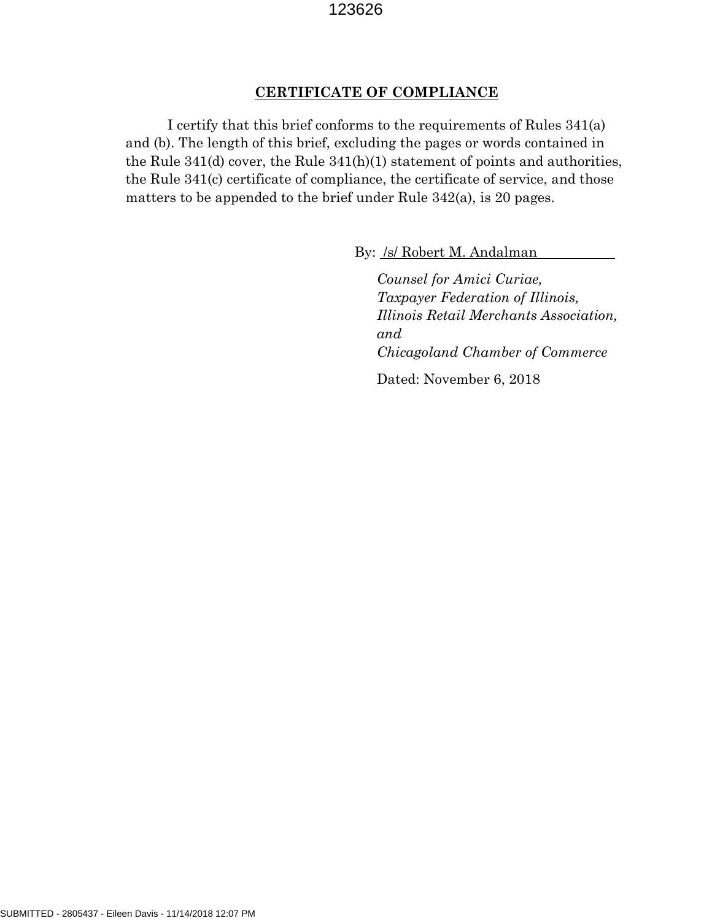#### **CERTIFICATE OF COMPLIANCE**

I certify that this brief conforms to the requirements of Rules 341(a) and (b). The length of this brief, excluding the pages or words contained in the Rule 341(d) cover, the Rule 341(h)(1) statement of points and authorities, the Rule 341(c) certificate of compliance, the certificate of service, and those matters to be appended to the brief under Rule 342(a), is 20 pages.

By: /s/ Robert M. Andalman

*Counsel for Amici Curiae, Taxpayer Federation of Illinois, Illinois Retail Merchants Association, and Chicagoland Chamber of Commerce* Dated: November 6, 2018

SUBMITTED - 2805437 - Eileen Davis - 11/14/2018 12:07 PM